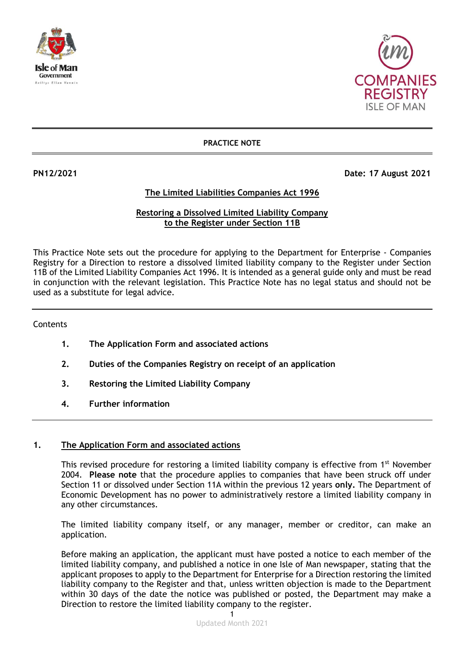



## **PRACTICE NOTE**

**PN12/2021 Date: 17 August 2021** 

## **The Limited Liabilities Companies Act 1996**

## **Restoring a Dissolved Limited Liability Company to the Register under Section 11B**

This Practice Note sets out the procedure for applying to the Department for Enterprise - Companies Registry for a Direction to restore a dissolved limited liability company to the Register under Section 11B of the Limited Liability Companies Act 1996. It is intended as a general guide only and must be read in conjunction with the relevant legislation. This Practice Note has no legal status and should not be used as a substitute for legal advice.

**Contents** 

- **1. The Application Form and associated actions**
- **2. Duties of the Companies Registry on receipt of an application**
- **3. Restoring the Limited Liability Company**
- **4. Further information**

## **1. The Application Form and associated actions**

This revised procedure for restoring a limited liability company is effective from 1<sup>st</sup> November 2004. **Please note** that the procedure applies to companies that have been struck off under Section 11 or dissolved under Section 11A within the previous 12 years **only.** The Department of Economic Development has no power to administratively restore a limited liability company in any other circumstances.

The limited liability company itself, or any manager, member or creditor, can make an application.

Before making an application, the applicant must have posted a notice to each member of the limited liability company, and published a notice in one Isle of Man newspaper, stating that the applicant proposes to apply to the Department for Enterprise for a Direction restoring the limited liability company to the Register and that, unless written objection is made to the Department within 30 days of the date the notice was published or posted, the Department may make a Direction to restore the limited liability company to the register.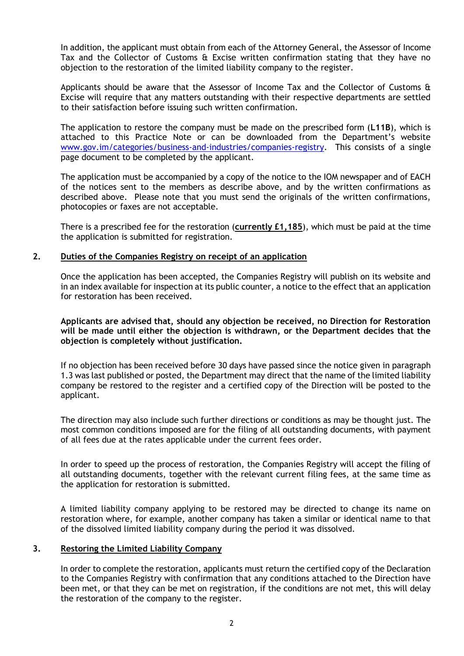In addition, the applicant must obtain from each of the Attorney General, the Assessor of Income Tax and the Collector of Customs & Excise written confirmation stating that they have no objection to the restoration of the limited liability company to the register.

Applicants should be aware that the Assessor of Income Tax and the Collector of Customs & Excise will require that any matters outstanding with their respective departments are settled to their satisfaction before issuing such written confirmation.

The application to restore the company must be made on the prescribed form (**L11B**), which is attached to this Practice Note or can be downloaded from the Department's website [www.gov.im/categories/business-and-industries/companies-registry.](http://www.gov.im/categories/business-and-industries/companies-registry) This consists of a single page document to be completed by the applicant.

The application must be accompanied by a copy of the notice to the IOM newspaper and of EACH of the notices sent to the members as describe above, and by the written confirmations as described above. Please note that you must send the originals of the written confirmations, photocopies or faxes are not acceptable.

There is a prescribed fee for the restoration (**currently £1,185**), which must be paid at the time the application is submitted for registration.

### **2. Duties of the Companies Registry on receipt of an application**

Once the application has been accepted, the Companies Registry will publish on its website and in an index available for inspection at its public counter, a notice to the effect that an application for restoration has been received.

**Applicants are advised that, should any objection be received, no Direction for Restoration will be made until either the objection is withdrawn, or the Department decides that the objection is completely without justification.**

If no objection has been received before 30 days have passed since the notice given in paragraph 1.3 was last published or posted, the Department may direct that the name of the limited liability company be restored to the register and a certified copy of the Direction will be posted to the applicant.

The direction may also include such further directions or conditions as may be thought just. The most common conditions imposed are for the filing of all outstanding documents, with payment of all fees due at the rates applicable under the current fees order.

In order to speed up the process of restoration, the Companies Registry will accept the filing of all outstanding documents, together with the relevant current filing fees, at the same time as the application for restoration is submitted.

A limited liability company applying to be restored may be directed to change its name on restoration where, for example, another company has taken a similar or identical name to that of the dissolved limited liability company during the period it was dissolved.

#### **3. Restoring the Limited Liability Company**

In order to complete the restoration, applicants must return the certified copy of the Declaration to the Companies Registry with confirmation that any conditions attached to the Direction have been met, or that they can be met on registration, if the conditions are not met, this will delay the restoration of the company to the register.